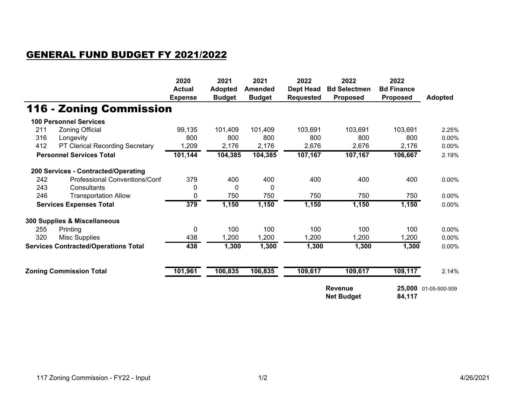## GENERAL FUND BUDGET FY 2021/2022

|                                 |                                             | 2020<br><b>Actual</b> | 2021<br><b>Adopted</b> | 2021<br>Amended | 2022<br><b>Dept Head</b>                                | 2022<br><b>Bd Selectmen</b> | 2022<br><b>Bd Finance</b> |                |
|---------------------------------|---------------------------------------------|-----------------------|------------------------|-----------------|---------------------------------------------------------|-----------------------------|---------------------------|----------------|
|                                 |                                             | <b>Expense</b>        | <b>Budget</b>          | <b>Budget</b>   | <b>Requested</b>                                        | <b>Proposed</b>             | <b>Proposed</b>           | <b>Adopted</b> |
|                                 | 116 - Zoning Commission                     |                       |                        |                 |                                                         |                             |                           |                |
|                                 | <b>100 Personnel Services</b>               |                       |                        |                 |                                                         |                             |                           |                |
| 211<br><b>Zoning Official</b>   |                                             | 99,135                | 101,409                | 101,409         | 103,691                                                 | 103,691                     | 103,691                   | 2.25%          |
| 316                             | Longevity                                   | 800                   | 800                    | 800             | 800                                                     | 800                         | 800                       | $0.00\%$       |
| 412                             | PT Clerical Recording Secretary             | 1,209                 | 2,176                  | 2,176           | 2,676                                                   | 2,676                       | 2,176                     | $0.00\%$       |
| <b>Personnel Services Total</b> |                                             | 101,144               | 104,385                | 104,385         | 107,167                                                 | 107,167                     | 106,667                   | 2.19%          |
|                                 | 200 Services - Contracted/Operating         |                       |                        |                 |                                                         |                             |                           |                |
| 242                             | Professional Conventions/Conf               | 379                   | 400                    | 400             | 400                                                     | 400                         | 400                       | 0.00%          |
| 243                             | Consultants                                 | 0                     | 0                      | 0               |                                                         |                             |                           |                |
| 246                             | <b>Transportation Allow</b>                 | 0                     | 750                    | 750             | 750                                                     | 750                         | 750                       | $0.00\%$       |
| <b>Services Expenses Total</b>  |                                             | 379                   | 1,150                  | 1,150           | 1,150                                                   | 1,150                       | 1,150                     | 0.00%          |
|                                 | 300 Supplies & Miscellaneous                |                       |                        |                 |                                                         |                             |                           |                |
| 255                             | Printing                                    | 0                     | 100                    | 100             | 100                                                     | 100                         | 100                       | $0.00\%$       |
| 320                             | Misc Supplies                               | 438                   | 1,200                  | 1,200           | 1,200                                                   | 1,200                       | 1,200                     | 0.00%          |
|                                 | <b>Services Contracted/Operations Total</b> | 438                   | 1,300                  | 1,300           | 1,300                                                   | 1,300                       | 1,300                     | $0.00\%$       |
|                                 | <b>Zoning Commission Total</b>              | 101,961               | 106,835                | 106,835         | 109,617                                                 | 109,617                     | 109,117                   | 2.14%          |
|                                 |                                             |                       |                        |                 |                                                         |                             |                           |                |
|                                 |                                             |                       |                        |                 | <b>Revenue</b><br>25,000<br><b>Net Budget</b><br>84,117 |                             | 01-05-500-509             |                |